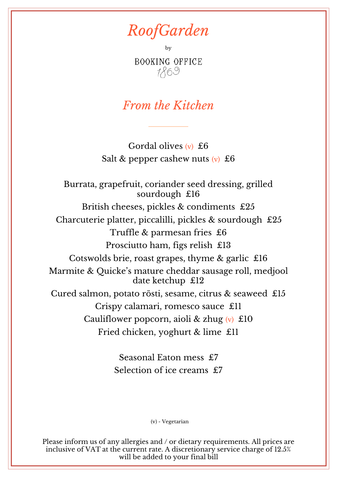*RoofGarden*

byBOOKING OFFICE 1869

#### *From the Kitchen*

Gordal olives (v) £6 Salt & pepper cashew nuts  $(v)$  £6

Burrata, grapefruit, coriander seed dressing, grilled sourdough £16 British cheeses, pickles & condiments £25 Charcuterie platter, piccalilli, pickles & sourdough £25 Truffle & parmesan fries £6 Prosciutto ham, figs relish £13 Cotswolds brie, roast grapes, thyme & garlic £16 Marmite & Quicke's mature cheddar sausage roll, medjool date ketchup £12 Cured salmon, potato rösti, sesame, citrus & seaweed £15 Crispy calamari, romesco sauce £11 Cauliflower popcorn, aioli & zhug  $(v)$  £10 Fried chicken, yoghurt & lime £11

> Seasonal Eaton mess £7 Selection of ice creams £7

> > (v) - Vegetarian

Please inform us of any allergies and / or dietary requirements. All prices are inclusive of VAT at the current rate. A discretionary service charge of 12.5% will be added to your final bill